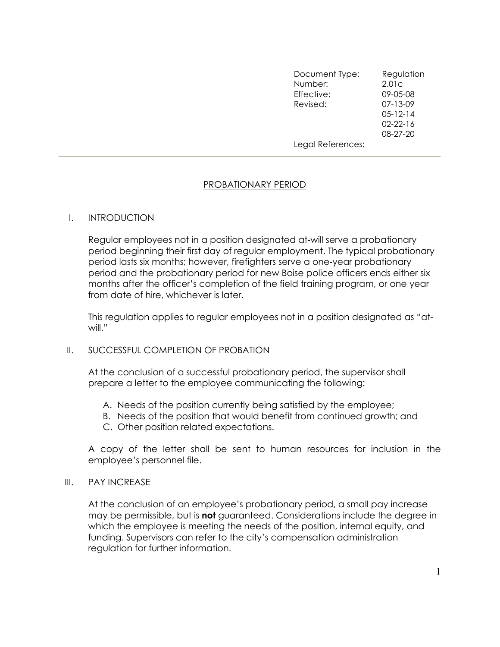| Document Type:    | Regulation     |
|-------------------|----------------|
| Number:           | 2.01c          |
| Effective:        | 09-05-08       |
| Revised:          | $07 - 13 - 09$ |
|                   | $05 - 12 - 14$ |
|                   | $02 - 22 - 16$ |
|                   | 08-27-20       |
| Legal References: |                |

# PROBATIONARY PERIOD

### I. INTRODUCTION

Regular employees not in a position designated at-will serve a probationary period beginning their first day of regular employment. The typical probationary period lasts six months; however, firefighters serve a one-year probationary period and the probationary period for new Boise police officers ends either six months after the officer's completion of the field training program, or one year from date of hire, whichever is later.

This regulation applies to regular employees not in a position designated as "atwill."

### II. SUCCESSFUL COMPLETION OF PROBATION

At the conclusion of a successful probationary period, the supervisor shall prepare a letter to the employee communicating the following:

- A. Needs of the position currently being satisfied by the employee;
- B. Needs of the position that would benefit from continued growth; and
- C. Other position related expectations.

A copy of the letter shall be sent to human resources for inclusion in the employee's personnel file.

### III. PAY INCREASE

At the conclusion of an employee's probationary period, a small pay increase may be permissible, but is not quaranteed. Considerations include the degree in which the employee is meeting the needs of the position, internal equity, and funding. Supervisors can refer to the city's compensation administration regulation for further information.